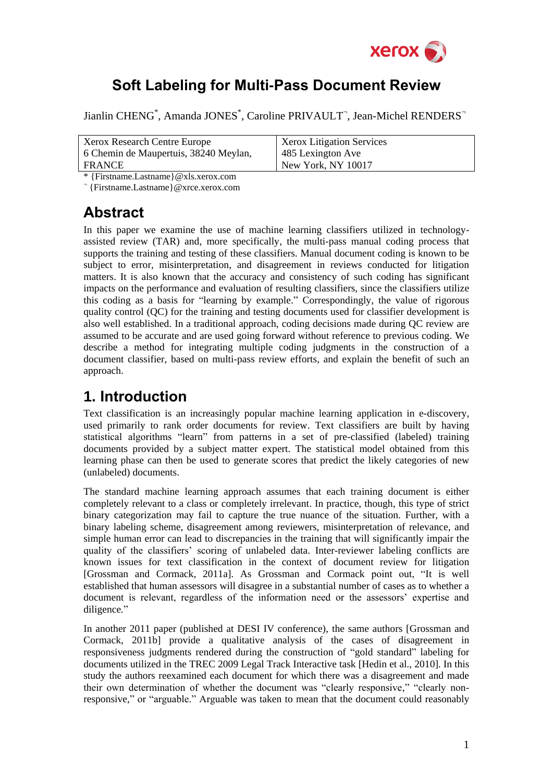

## **Soft Labeling for Multi-Pass Document Review**

Jianlin CHENG<sup>\*</sup>, Amanda JONES<sup>\*</sup>, Caroline PRIVAULT<sup>-</sup>, Jean-Michel RENDERS<sup>-</sup>

| Xerox Research Centre Europe          | <b>Xerox Litigation Services</b> |
|---------------------------------------|----------------------------------|
| 6 Chemin de Maupertuis, 38240 Meylan, | 485 Lexington Ave                |
| FRANCE                                | New York, NY 10017               |

\* {Firstname.Lastname}@xls.xerox.com

¬ {Firstname.Lastname}@xrce.xerox.com

## **Abstract**

In this paper we examine the use of machine learning classifiers utilized in technologyassisted review (TAR) and, more specifically, the multi-pass manual coding process that supports the training and testing of these classifiers. Manual document coding is known to be subject to error, misinterpretation, and disagreement in reviews conducted for litigation matters. It is also known that the accuracy and consistency of such coding has significant impacts on the performance and evaluation of resulting classifiers, since the classifiers utilize this coding as a basis for "learning by example." Correspondingly, the value of rigorous quality control (QC) for the training and testing documents used for classifier development is also well established. In a traditional approach, coding decisions made during QC review are assumed to be accurate and are used going forward without reference to previous coding. We describe a method for integrating multiple coding judgments in the construction of a document classifier, based on multi-pass review efforts, and explain the benefit of such an approach.

# **1. Introduction**

Text classification is an increasingly popular machine learning application in e-discovery, used primarily to rank order documents for review. Text classifiers are built by having statistical algorithms "learn" from patterns in a set of pre-classified (labeled) training documents provided by a subject matter expert. The statistical model obtained from this learning phase can then be used to generate scores that predict the likely categories of new (unlabeled) documents.

The standard machine learning approach assumes that each training document is either completely relevant to a class or completely irrelevant. In practice, though, this type of strict binary categorization may fail to capture the true nuance of the situation. Further, with a binary labeling scheme, disagreement among reviewers, misinterpretation of relevance, and simple human error can lead to discrepancies in the training that will significantly impair the quality of the classifiers' scoring of unlabeled data. Inter-reviewer labeling conflicts are known issues for text classification in the context of document review for litigation [Grossman and Cormack, 2011a]. As Grossman and Cormack point out, "It is well established that human assessors will disagree in a substantial number of cases as to whether a document is relevant, regardless of the information need or the assessors' expertise and diligence*.*"

In another 2011 paper (published at DESI IV conference), the same authors [Grossman and Cormack, 2011b] provide a qualitative analysis of the cases of disagreement in responsiveness judgments rendered during the construction of "gold standard" labeling for documents utilized in the TREC 2009 Legal Track Interactive task [Hedin et al., 2010]. In this study the authors reexamined each document for which there was a disagreement and made their own determination of whether the document was "clearly responsive," "clearly nonresponsive," or "arguable." Arguable was taken to mean that the document could reasonably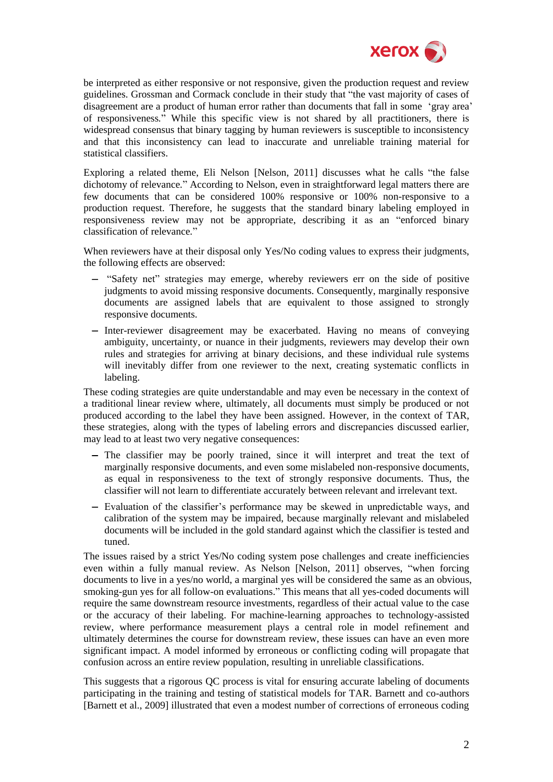

be interpreted as either responsive or not responsive, given the production request and review guidelines. Grossman and Cormack conclude in their study that "the vast majority of cases of disagreement are a product of human error rather than documents that fall in some 'gray area' of responsiveness*.*" While this specific view is not shared by all practitioners, there is widespread consensus that binary tagging by human reviewers is susceptible to inconsistency and that this inconsistency can lead to inaccurate and unreliable training material for statistical classifiers.

Exploring a related theme, Eli Nelson [Nelson, 2011] discusses what he calls "the false dichotomy of relevance*.*" According to Nelson, even in straightforward legal matters there are few documents that can be considered 100% responsive or 100% non-responsive to a production request. Therefore, he suggests that the standard binary labeling employed in responsiveness review may not be appropriate, describing it as an "enforced binary classification of relevance*.*"

When reviewers have at their disposal only Yes/No coding values to express their judgments, the following effects are observed:

- "Safety net" strategies may emerge, whereby reviewers err on the side of positive judgments to avoid missing responsive documents. Consequently, marginally responsive documents are assigned labels that are equivalent to those assigned to strongly responsive documents.
- Inter-reviewer disagreement may be exacerbated. Having no means of conveying ambiguity, uncertainty, or nuance in their judgments, reviewers may develop their own rules and strategies for arriving at binary decisions, and these individual rule systems will inevitably differ from one reviewer to the next, creating systematic conflicts in labeling.

These coding strategies are quite understandable and may even be necessary in the context of a traditional linear review where, ultimately, all documents must simply be produced or not produced according to the label they have been assigned. However, in the context of TAR, these strategies, along with the types of labeling errors and discrepancies discussed earlier, may lead to at least two very negative consequences:

- The classifier may be poorly trained, since it will interpret and treat the text of marginally responsive documents, and even some mislabeled non-responsive documents, as equal in responsiveness to the text of strongly responsive documents. Thus, the classifier will not learn to differentiate accurately between relevant and irrelevant text.
- Evaluation of the classifier's performance may be skewed in unpredictable ways, and calibration of the system may be impaired, because marginally relevant and mislabeled documents will be included in the gold standard against which the classifier is tested and tuned.

The issues raised by a strict Yes/No coding system pose challenges and create inefficiencies even within a fully manual review. As Nelson [Nelson, 2011] observes, "when forcing documents to live in a yes/no world, a marginal yes will be considered the same as an obvious, smoking-gun yes for all follow-on evaluations." This means that all yes-coded documents will require the same downstream resource investments, regardless of their actual value to the case or the accuracy of their labeling. For machine-learning approaches to technology-assisted review, where performance measurement plays a central role in model refinement and ultimately determines the course for downstream review, these issues can have an even more significant impact. A model informed by erroneous or conflicting coding will propagate that confusion across an entire review population, resulting in unreliable classifications.

This suggests that a rigorous QC process is vital for ensuring accurate labeling of documents participating in the training and testing of statistical models for TAR. Barnett and co-authors [Barnett et al., 2009] illustrated that even a modest number of corrections of erroneous coding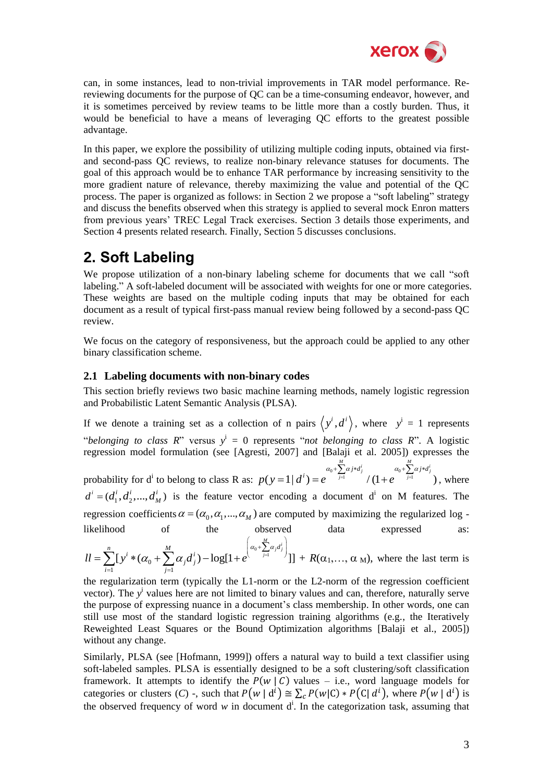

can, in some instances, lead to non-trivial improvements in TAR model performance. Rereviewing documents for the purpose of QC can be a time-consuming endeavor, however, and it is sometimes perceived by review teams to be little more than a costly burden. Thus, it would be beneficial to have a means of leveraging QC efforts to the greatest possible advantage.

In this paper, we explore the possibility of utilizing multiple coding inputs, obtained via firstand second-pass QC reviews, to realize non-binary relevance statuses for documents. The goal of this approach would be to enhance TAR performance by increasing sensitivity to the more gradient nature of relevance, thereby maximizing the value and potential of the QC process. The paper is organized as follows: in Section 2 we propose a "soft labeling" strategy and discuss the benefits observed when this strategy is applied to several mock Enron matters from previous years' TREC Legal Track exercises. Section 3 details those experiments, and Section 4 presents related research. Finally, Section 5 discusses conclusions.

# **2. Soft Labeling**

We propose utilization of a non-binary labeling scheme for documents that we call "soft labeling." A soft-labeled document will be associated with weights for one or more categories. These weights are based on the multiple coding inputs that may be obtained for each document as a result of typical first-pass manual review being followed by a second-pass QC review.

We focus on the category of responsiveness, but the approach could be applied to any other binary classification scheme.

### **2.1 Labeling documents with non-binary codes**

This section briefly reviews two basic machine learning methods, namely logistic regression and Probabilistic Latent Semantic Analysis (PLSA).

If we denote a training set as a collection of n pairs  $\langle y^i, d^i \rangle$ , where  $y^i = 1$  represents "*belonging to class R*" versus  $y^i = 0$  represents "*not belonging to class R*". A logistic regression model formulation (see [Agresti, 2007] and [Balaji et al. 2005]) expresses the probability for  $d^i$  to belong to class R as: 1, 2007] and [Baraji et al. 2005]) express<br>  $(y=1|d^i) = e^{a_0 + \sum_{j=1}^{M} \alpha_j * d_j^i} / (1+e^{a_0 + \sum_{j=1}^{M} \alpha_j * d_j^i})$ *p y <sup>d</sup> <sup>e</sup> <sup>e</sup>*  $=1 | d^i) = e^{\alpha_0 + \sum_{j=1}^{M} \alpha_j * d_j^i} / (1 + e^{\alpha_0 + \sum_{j=1}^{M} \alpha_j * d_j^i})$ , where  $a^i = (d_1^i, d_2^i, ..., d_M^i)$  $d^i = (d_1^i, d_2^i, ..., d_M^i)$  is the feature vector encoding a document d<sup>i</sup> on M features. The regression coefficients  $\alpha = (\alpha_0, \alpha_1, ..., \alpha_M)$  are computed by maximizing the regularized log likelihood of the observed data expressed as:

likelihood of the observed data expressed as:  
\n
$$
ll = \sum_{i=1}^{n} [y^{i} * (\alpha_{0} + \sum_{j=1}^{M} \alpha_{j} d_{j}^{i}) - \log[1 + e^{(\alpha_{0} + \sum_{j=1}^{M} \alpha_{j} d_{j}^{i})}]] + R(\alpha_{1}, ..., \alpha_{M}),
$$
 where the last term is

the regularization term (typically the L1-norm or the L2-norm of the regression coefficient vector). The y<sup>i</sup> values here are not limited to binary values and can, therefore, naturally serve the purpose of expressing nuance in a document's class membership. In other words, one can still use most of the standard logistic regression training algorithms (e.g., the Iteratively Reweighted Least Squares or the Bound Optimization algorithms [Balaji et al., 2005]) without any change.

Similarly, PLSA (see [Hofmann, 1999]) offers a natural way to build a text classifier using soft-labeled samples. PLSA is essentially designed to be a soft clustering/soft classification framework. It attempts to identify the  $P(w | C)$  values – i.e., word language models for categories or clusters (C) -, such that  $P(w | d^i) \cong \sum_c P(w | C) * P(C | d^i)$ , where  $P(w | d^i)$  is the observed frequency of word  $w$  in document  $d^i$ . In the categorization task, assuming that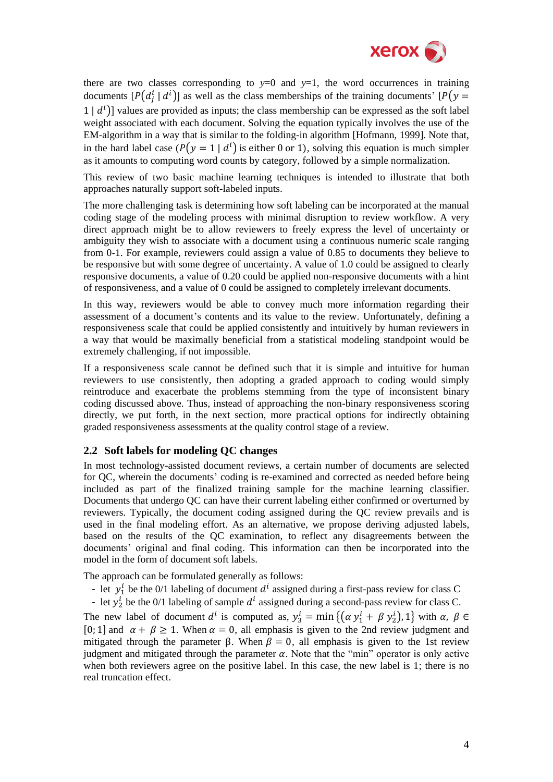

there are two classes corresponding to  $y=0$  and  $y=1$ , the word occurrences in training documents  $[P(d_i^i | d^i)]$  as well as the class memberships of the training documents'  $[P(y)]$  $(1 | d<sup>i</sup>)$ ] values are provided as inputs; the class membership can be expressed as the soft label weight associated with each document. Solving the equation typically involves the use of the EM-algorithm in a way that is similar to the folding-in algorithm [Hofmann, 1999]. Note that, in the hard label case  $(P(y = 1 | d<sup>i</sup>)$  is either 0 or 1), solving this equation is much simpler as it amounts to computing word counts by category, followed by a simple normalization.

This review of two basic machine learning techniques is intended to illustrate that both approaches naturally support soft-labeled inputs.

The more challenging task is determining how soft labeling can be incorporated at the manual coding stage of the modeling process with minimal disruption to review workflow. A very direct approach might be to allow reviewers to freely express the level of uncertainty or ambiguity they wish to associate with a document using a continuous numeric scale ranging from 0-1. For example, reviewers could assign a value of 0.85 to documents they believe to be responsive but with some degree of uncertainty. A value of 1.0 could be assigned to clearly responsive documents, a value of 0.20 could be applied non-responsive documents with a hint of responsiveness, and a value of 0 could be assigned to completely irrelevant documents.

In this way, reviewers would be able to convey much more information regarding their assessment of a document's contents and its value to the review. Unfortunately, defining a responsiveness scale that could be applied consistently and intuitively by human reviewers in a way that would be maximally beneficial from a statistical modeling standpoint would be extremely challenging, if not impossible.

If a responsiveness scale cannot be defined such that it is simple and intuitive for human reviewers to use consistently, then adopting a graded approach to coding would simply reintroduce and exacerbate the problems stemming from the type of inconsistent binary coding discussed above. Thus, instead of approaching the non-binary responsiveness scoring directly, we put forth, in the next section, more practical options for indirectly obtaining graded responsiveness assessments at the quality control stage of a review.

#### **2.2 Soft labels for modeling QC changes**

In most technology-assisted document reviews, a certain number of documents are selected for QC, wherein the documents' coding is re-examined and corrected as needed before being included as part of the finalized training sample for the machine learning classifier. Documents that undergo QC can have their current labeling either confirmed or overturned by reviewers. Typically, the document coding assigned during the QC review prevails and is used in the final modeling effort. As an alternative, we propose deriving adjusted labels, based on the results of the QC examination, to reflect any disagreements between the documents' original and final coding. This information can then be incorporated into the model in the form of document soft labels.

The approach can be formulated generally as follows:

- let  $y_1^i$  be the 0/1 labeling of document  $d^i$  assigned during a first-pass review for class C
- let  $y_2^i$  be the 0/1 labeling of sample  $d^i$  assigned during a second-pass review for class C.

The new label of document  $d^i$  is computed as,  $y_3^i = \min\{(\alpha y_1^i + \beta y_2^i), 1\}$  with [0; 1] and  $\alpha + \beta \ge 1$ . When  $\alpha = 0$ , all emphasis is given to the 2nd review judgment and mitigated through the parameter β. When  $β = 0$ , all emphasis is given to the 1st review judgment and mitigated through the parameter  $\alpha$ . Note that the "min" operator is only active when both reviewers agree on the positive label. In this case, the new label is 1; there is no real truncation effect.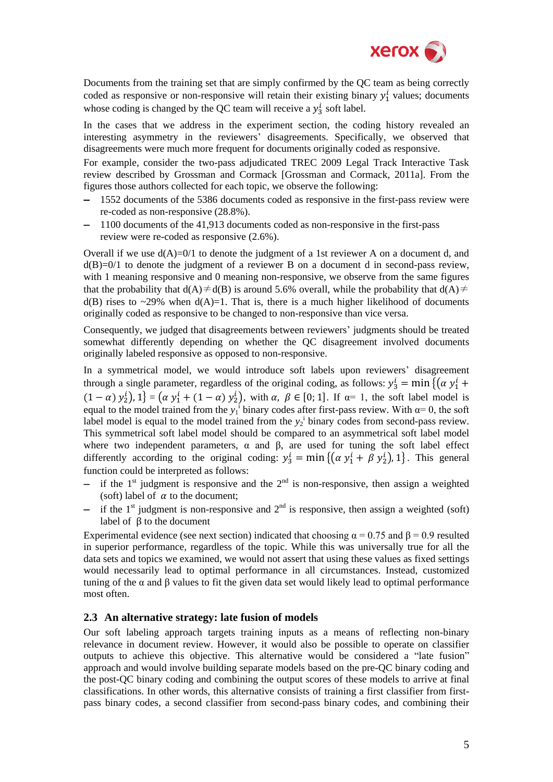

Documents from the training set that are simply confirmed by the QC team as being correctly coded as responsive or non-responsive will retain their existing binary  $y_1^i$  values; documents whose coding is changed by the QC team will receive a  $y_3^i$  soft label.

In the cases that we address in the experiment section, the coding history revealed an interesting asymmetry in the reviewers' disagreements. Specifically, we observed that disagreements were much more frequent for documents originally coded as responsive.

For example, consider the two-pass adjudicated TREC 2009 Legal Track Interactive Task review described by Grossman and Cormack [Grossman and Cormack, 2011a]. From the figures those authors collected for each topic, we observe the following:

- 1552 documents of the 5386 documents coded as responsive in the first-pass review were re-coded as non-responsive (28.8%).
- 1100 documents of the 41,913 documents coded as non-responsive in the first-pass review were re-coded as responsive (2.6%).

Overall if we use  $d(A)=0/1$  to denote the judgment of a 1st reviewer A on a document d, and  $d(B)=0/1$  to denote the judgment of a reviewer B on a document d in second-pass review, with 1 meaning responsive and 0 meaning non-responsive, we observe from the same figures that the probability that  $d(A) \neq d(B)$  is around 5.6% overall, while the probability that  $d(A) \neq$  $d(B)$  rises to ~29% when  $d(A)=1$ . That is, there is a much higher likelihood of documents originally coded as responsive to be changed to non-responsive than vice versa.

Consequently, we judged that disagreements between reviewers' judgments should be treated somewhat differently depending on whether the QC disagreement involved documents originally labeled responsive as opposed to non-responsive.

In a symmetrical model, we would introduce soft labels upon reviewers' disagreement through a single parameter, regardless of the original coding, as follows:  $y_3^i = \min \{ (\alpha y_1^i)$  $(1 - \alpha) y_2^i$ ,  $1$  =  $(\alpha y_1^i + (1 - \alpha) y_2^i)$ , with  $\alpha, \beta \in [0, 1]$ . If  $\alpha = 1$ , the soft label model is equal to the model trained from the  $y_1$ <sup>i</sup> binary codes after first-pass review. With  $\alpha = 0$ , the soft label model is equal to the model trained from the  $y_2$ <sup>i</sup> binary codes from second-pass review. This symmetrical soft label model should be compared to an asymmetrical soft label model where two independent parameters,  $\alpha$  and  $\beta$ , are used for tuning the soft label effect differently according to the original coding:  $y_3^i = \min\{(\alpha y_1^i + \beta y_2^i), 1\}$ . This general function could be interpreted as follows:

- if the 1<sup>st</sup> judgment is responsive and the  $2<sup>nd</sup>$  is non-responsive, then assign a weighted (soft) label of  $\alpha$  to the document:
- if the 1<sup>st</sup> judgment is non-responsive and  $2<sup>nd</sup>$  is responsive, then assign a weighted (soft) label of β to the document

Experimental evidence (see next section) indicated that choosing  $\alpha = 0.75$  and  $\beta = 0.9$  resulted in superior performance, regardless of the topic. While this was universally true for all the data sets and topics we examined, we would not assert that using these values as fixed settings would necessarily lead to optimal performance in all circumstances. Instead, customized tuning of the  $\alpha$  and  $\beta$  values to fit the given data set would likely lead to optimal performance most often.

### **2.3 An alternative strategy: late fusion of models**

Our soft labeling approach targets training inputs as a means of reflecting non-binary relevance in document review. However, it would also be possible to operate on classifier outputs to achieve this objective. This alternative would be considered a "late fusion" approach and would involve building separate models based on the pre-QC binary coding and the post-QC binary coding and combining the output scores of these models to arrive at final classifications. In other words, this alternative consists of training a first classifier from firstpass binary codes, a second classifier from second-pass binary codes, and combining their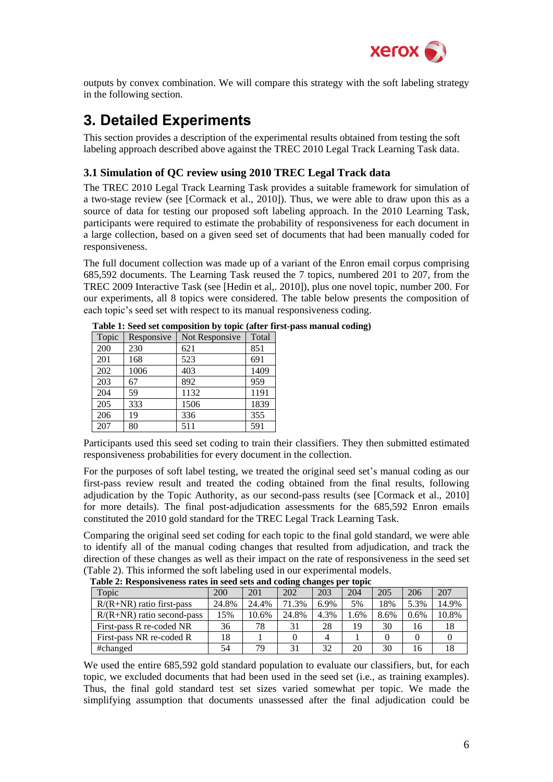

outputs by convex combination. We will compare this strategy with the soft labeling strategy in the following section.

## **3. Detailed Experiments**

This section provides a description of the experimental results obtained from testing the soft labeling approach described above against the TREC 2010 Legal Track Learning Task data.

### **3.1 Simulation of QC review using 2010 TREC Legal Track data**

The TREC 2010 Legal Track Learning Task provides a suitable framework for simulation of a two-stage review (see [Cormack et al., 2010]). Thus, we were able to draw upon this as a source of data for testing our proposed soft labeling approach. In the 2010 Learning Task, participants were required to estimate the probability of responsiveness for each document in a large collection, based on a given seed set of documents that had been manually coded for responsiveness.

The full document collection was made up of a variant of the Enron email corpus comprising 685,592 documents. The Learning Task reused the 7 topics, numbered 201 to 207, from the TREC 2009 Interactive Task (see [Hedin et al,. 2010]), plus one novel topic, number 200. For our experiments, all 8 topics were considered. The table below presents the composition of each topic's seed set with respect to its manual responsiveness coding.

| Topic | Responsive | Not Responsive | Total |
|-------|------------|----------------|-------|
| 200   | 230        | 621            | 851   |
| 201   | 168        | 523            | 691   |
| 202   | 1006       | 403            | 1409  |
| 203   | 67         | 892            | 959   |
| 204   | 59         | 1132           | 1191  |
| 205   | 333        | 1506           | 1839  |
| 206   | 19         | 336            | 355   |
| 207   | 80         | 511            | 591   |

|  |  |  |  | Table 1: Seed set composition by topic (after first-pass manual coding) |  |
|--|--|--|--|-------------------------------------------------------------------------|--|

Participants used this seed set coding to train their classifiers. They then submitted estimated responsiveness probabilities for every document in the collection.

For the purposes of soft label testing, we treated the original seed set's manual coding as our first-pass review result and treated the coding obtained from the final results, following adjudication by the Topic Authority, as our second-pass results (see [Cormack et al., 2010] for more details). The final post-adjudication assessments for the 685,592 Enron emails constituted the 2010 gold standard for the TREC Legal Track Learning Task.

Comparing the original seed set coding for each topic to the final gold standard, we were able to identify all of the manual coding changes that resulted from adjudication, and track the direction of these changes as well as their impact on the rate of responsiveness in the seed set (Table 2). This informed the soft labeling used in our experimental models.

| Topic                        | 200   | 201   | 202   | 203  | 204  | 205  | 206  | 207   |
|------------------------------|-------|-------|-------|------|------|------|------|-------|
| $R/(R+NR)$ ratio first-pass  | 24.8% | 24.4% | 71.3% | 6.9% | 5%   | 18%  | 5.3% | 14.9% |
| $R/(R+NR)$ ratio second-pass | 15%   | 10.6% | 24.8% | 4.3% | 1.6% | 8.6% | 0.6% | 10.8% |
| First-pass R re-coded NR     | 36    | 78    | 31    | 28   | 19   | 30   | 16   | 18    |
| First-pass NR re-coded R     | 18    |       |       |      |      |      |      |       |
| #changed                     | 54    | 79    | 31    | 32   | 20   | 30   | 16   | 18    |

**Table 2: Responsiveness rates in seed sets and coding changes per topic**

We used the entire 685,592 gold standard population to evaluate our classifiers, but, for each topic, we excluded documents that had been used in the seed set (i.e., as training examples). Thus, the final gold standard test set sizes varied somewhat per topic. We made the simplifying assumption that documents unassessed after the final adjudication could be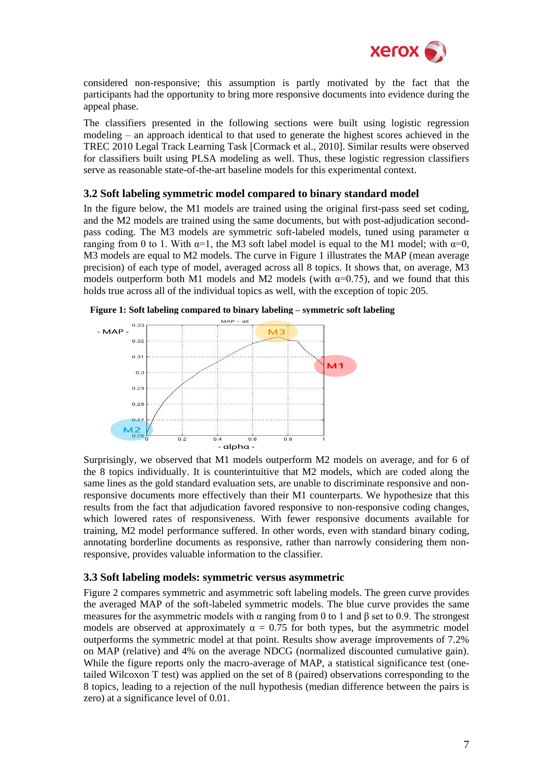

considered non-responsive; this assumption is partly motivated by the fact that the participants had the opportunity to bring more responsive documents into evidence during the appeal phase.

The classifiers presented in the following sections were built using logistic regression modeling – an approach identical to that used to generate the highest scores achieved in the TREC 2010 Legal Track Learning Task [Cormack et al., 2010]. Similar results were observed for classifiers built using PLSA modeling as well. Thus, these logistic regression classifiers serve as reasonable state-of-the-art baseline models for this experimental context.

### **3.2 Soft labeling symmetric model compared to binary standard model**

In the figure below, the M1 models are trained using the original first-pass seed set coding, and the M2 models are trained using the same documents, but with post-adjudication secondpass coding. The M3 models are symmetric soft-labeled models, tuned using parameter  $\alpha$ ranging from 0 to 1. With  $\alpha=1$ , the M3 soft label model is equal to the M1 model; with  $\alpha=0$ , M3 models are equal to M2 models. The curve in Figure 1 illustrates the MAP (mean average precision) of each type of model, averaged across all 8 topics. It shows that, on average, M3 models outperform both M1 models and M2 models (with  $\alpha$ =0.75), and we found that this holds true across all of the individual topics as well, with the exception of topic 205.





Surprisingly, we observed that M1 models outperform M2 models on average, and for 6 of the 8 topics individually. It is counterintuitive that M2 models, which are coded along the same lines as the gold standard evaluation sets, are unable to discriminate responsive and nonresponsive documents more effectively than their M1 counterparts. We hypothesize that this results from the fact that adjudication favored responsive to non-responsive coding changes, which lowered rates of responsiveness. With fewer responsive documents available for training, M2 model performance suffered. In other words, even with standard binary coding, annotating borderline documents as responsive, rather than narrowly considering them nonresponsive, provides valuable information to the classifier.

#### **3.3 Soft labeling models: symmetric versus asymmetric**

Figure 2 compares symmetric and asymmetric soft labeling models. The green curve provides the averaged MAP of the soft-labeled symmetric models. The blue curve provides the same measures for the asymmetric models with  $\alpha$  ranging from 0 to 1 and  $\beta$  set to 0.9. The strongest models are observed at approximately  $\alpha = 0.75$  for both types, but the asymmetric model outperforms the symmetric model at that point. Results show average improvements of 7.2% on MAP (relative) and 4% on the average NDCG (normalized discounted cumulative gain). While the figure reports only the macro-average of MAP, a statistical significance test (onetailed Wilcoxon T test) was applied on the set of 8 (paired) observations corresponding to the 8 topics, leading to a rejection of the null hypothesis (median difference between the pairs is zero) at a significance level of 0.01.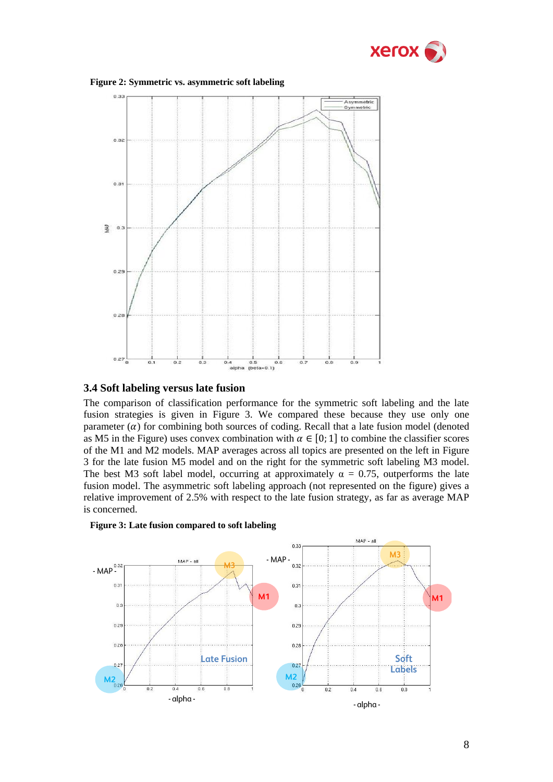





### **3.4 Soft labeling versus late fusion**

The comparison of classification performance for the symmetric soft labeling and the late fusion strategies is given in Figure 3. We compared these because they use only one parameter  $\alpha$ ) for combining both sources of coding. Recall that a late fusion model (denoted as M5 in the Figure) uses convex combination with  $\alpha \in [0, 1]$  to combine the classifier scores of the M1 and M2 models. MAP averages across all topics are presented on the left in Figure 3 for the late fusion M5 model and on the right for the symmetric soft labeling M3 model. The best M3 soft label model, occurring at approximately  $\alpha = 0.75$ , outperforms the late fusion model. The asymmetric soft labeling approach (not represented on the figure) gives a relative improvement of 2.5% with respect to the late fusion strategy, as far as average MAP is concerned.



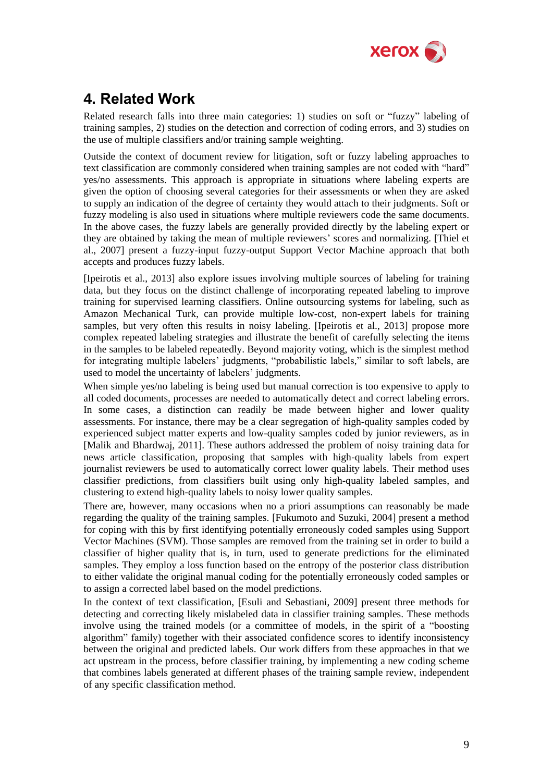

## **4. Related Work**

Related research falls into three main categories: 1) studies on soft or "fuzzy" labeling of training samples, 2) studies on the detection and correction of coding errors, and 3) studies on the use of multiple classifiers and/or training sample weighting.

Outside the context of document review for litigation, soft or fuzzy labeling approaches to text classification are commonly considered when training samples are not coded with "hard" yes/no assessments. This approach is appropriate in situations where labeling experts are given the option of choosing several categories for their assessments or when they are asked to supply an indication of the degree of certainty they would attach to their judgments. Soft or fuzzy modeling is also used in situations where multiple reviewers code the same documents. In the above cases, the fuzzy labels are generally provided directly by the labeling expert or they are obtained by taking the mean of multiple reviewers' scores and normalizing. [Thiel et al., 2007] present a fuzzy-input fuzzy-output Support Vector Machine approach that both accepts and produces fuzzy labels.

[Ipeirotis et al., 2013] also explore issues involving multiple sources of labeling for training data, but they focus on the distinct challenge of incorporating repeated labeling to improve training for supervised learning classifiers. Online outsourcing systems for labeling, such as Amazon Mechanical Turk, can provide multiple low-cost, non-expert labels for training samples, but very often this results in noisy labeling. [Ipeirotis et al., 2013] propose more complex repeated labeling strategies and illustrate the benefit of carefully selecting the items in the samples to be labeled repeatedly. Beyond majority voting, which is the simplest method for integrating multiple labelers' judgments, "probabilistic labels," similar to soft labels, are used to model the uncertainty of labelers' judgments.

When simple yes/no labeling is being used but manual correction is too expensive to apply to all coded documents, processes are needed to automatically detect and correct labeling errors. In some cases, a distinction can readily be made between higher and lower quality assessments. For instance, there may be a clear segregation of high-quality samples coded by experienced subject matter experts and low-quality samples coded by junior reviewers, as in [Malik and Bhardwaj, 2011]. These authors addressed the problem of noisy training data for news article classification, proposing that samples with high-quality labels from expert journalist reviewers be used to automatically correct lower quality labels. Their method uses classifier predictions, from classifiers built using only high-quality labeled samples, and clustering to extend high-quality labels to noisy lower quality samples.

There are, however, many occasions when no a priori assumptions can reasonably be made regarding the quality of the training samples. [Fukumoto and Suzuki, 2004] present a method for coping with this by first identifying potentially erroneously coded samples using Support Vector Machines (SVM). Those samples are removed from the training set in order to build a classifier of higher quality that is, in turn, used to generate predictions for the eliminated samples. They employ a loss function based on the entropy of the posterior class distribution to either validate the original manual coding for the potentially erroneously coded samples or to assign a corrected label based on the model predictions.

In the context of text classification, [Esuli and Sebastiani, 2009] present three methods for detecting and correcting likely mislabeled data in classifier training samples. These methods involve using the trained models (or a committee of models, in the spirit of a "boosting algorithm" family) together with their associated confidence scores to identify inconsistency between the original and predicted labels. Our work differs from these approaches in that we act upstream in the process, before classifier training, by implementing a new coding scheme that combines labels generated at different phases of the training sample review, independent of any specific classification method.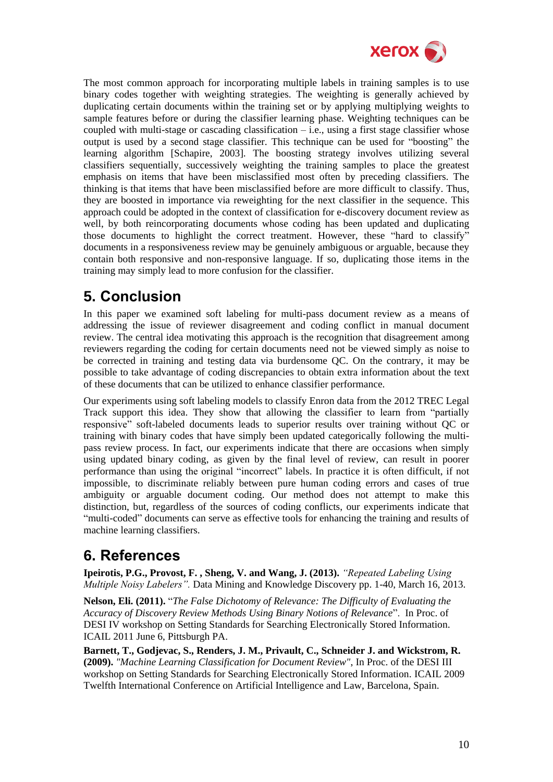

The most common approach for incorporating multiple labels in training samples is to use binary codes together with weighting strategies. The weighting is generally achieved by duplicating certain documents within the training set or by applying multiplying weights to sample features before or during the classifier learning phase. Weighting techniques can be coupled with multi-stage or cascading classification  $-i.e.,$  using a first stage classifier whose output is used by a second stage classifier. This technique can be used for "boosting" the learning algorithm [Schapire, 2003]. The boosting strategy involves utilizing several classifiers sequentially, successively weighting the training samples to place the greatest emphasis on items that have been misclassified most often by preceding classifiers. The thinking is that items that have been misclassified before are more difficult to classify. Thus, they are boosted in importance via reweighting for the next classifier in the sequence. This approach could be adopted in the context of classification for e-discovery document review as well, by both reincorporating documents whose coding has been updated and duplicating those documents to highlight the correct treatment. However, these "hard to classify" documents in a responsiveness review may be genuinely ambiguous or arguable, because they contain both responsive and non-responsive language. If so, duplicating those items in the training may simply lead to more confusion for the classifier.

## **5. Conclusion**

In this paper we examined soft labeling for multi-pass document review as a means of addressing the issue of reviewer disagreement and coding conflict in manual document review. The central idea motivating this approach is the recognition that disagreement among reviewers regarding the coding for certain documents need not be viewed simply as noise to be corrected in training and testing data via burdensome QC. On the contrary, it may be possible to take advantage of coding discrepancies to obtain extra information about the text of these documents that can be utilized to enhance classifier performance.

Our experiments using soft labeling models to classify Enron data from the 2012 TREC Legal Track support this idea. They show that allowing the classifier to learn from "partially responsive" soft-labeled documents leads to superior results over training without QC or training with binary codes that have simply been updated categorically following the multipass review process. In fact, our experiments indicate that there are occasions when simply using updated binary coding, as given by the final level of review, can result in poorer performance than using the original "incorrect" labels. In practice it is often difficult, if not impossible, to discriminate reliably between pure human coding errors and cases of true ambiguity or arguable document coding. Our method does not attempt to make this distinction, but, regardless of the sources of coding conflicts, our experiments indicate that "multi-coded" documents can serve as effective tools for enhancing the training and results of machine learning classifiers.

### **6. References**

**Ipeirotis, P.G., Provost, F. , Sheng, V. and Wang, J. (2013).** *"Repeated Labeling Using Multiple Noisy Labelers".* Data Mining and Knowledge Discovery pp. 1-40, March 16, 2013.

**Nelson, Eli. (2011).** "*The False Dichotomy of Relevance: The Difficulty of Evaluating the Accuracy of Discovery Review Methods Using Binary Notions of Relevance*". In Proc. of DESI IV workshop on Setting Standards for Searching Electronically Stored Information. ICAIL 2011 June 6, Pittsburgh PA.

**Barnett, T., Godjevac, S., Renders, J. M., Privault, C., Schneider J. and Wickstrom, R. (2009).** *"Machine Learning Classification for Document Review"*, In Proc. of the DESI III workshop on Setting Standards for Searching Electronically Stored Information. ICAIL 2009 Twelfth International Conference on Artificial Intelligence and Law, Barcelona, Spain.